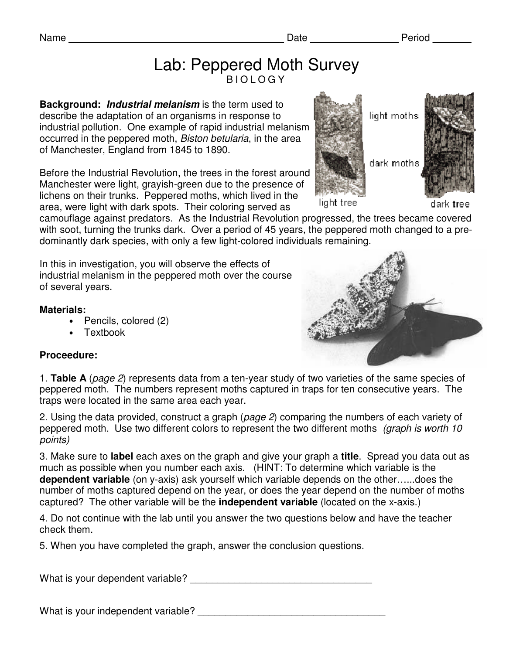## Lab: Peppered Moth Survey B I O L O G Y

**Background: Industrial melanism** is the term used to describe the adaptation of an organisms in response to industrial pollution. One example of rapid industrial melanism occurred in the peppered moth, Biston betularia, in the area of Manchester, England from 1845 to 1890.

Before the Industrial Revolution, the trees in the forest around Manchester were light, grayish-green due to the presence of lichens on their trunks. Peppered moths, which lived in the area, were light with dark spots. Their coloring served as

camouflage against predators. As the Industrial Revolution progressed, the trees became covered with soot, turning the trunks dark. Over a period of 45 years, the peppered moth changed to a predominantly dark species, with only a few light-colored individuals remaining.

In this in investigation, you will observe the effects of industrial melanism in the peppered moth over the course of several years.

#### **Materials:**

- Pencils, colored (2)
- Textbook

#### **Proceedure:**

1. **Table A** (page 2) represents data from a ten-year study of two varieties of the same species of peppered moth. The numbers represent moths captured in traps for ten consecutive years. The traps were located in the same area each year.

2. Using the data provided, construct a graph (page 2) comparing the numbers of each variety of peppered moth. Use two different colors to represent the two different moths (graph is worth 10 points)

3. Make sure to **label** each axes on the graph and give your graph a **title**. Spread you data out as much as possible when you number each axis. (HINT: To determine which variable is the **dependent variable** (on y-axis) ask yourself which variable depends on the other…...does the number of moths captured depend on the year, or does the year depend on the number of moths captured? The other variable will be the **independent variable** (located on the x-axis.)

4. Do not continue with the lab until you answer the two questions below and have the teacher check them.

5. When you have completed the graph, answer the conclusion questions.

What is your dependent variable? \_\_\_\_\_\_\_\_\_\_\_\_\_\_\_\_\_\_\_\_\_\_\_\_\_\_\_\_\_\_\_\_\_

What is your independent variable?





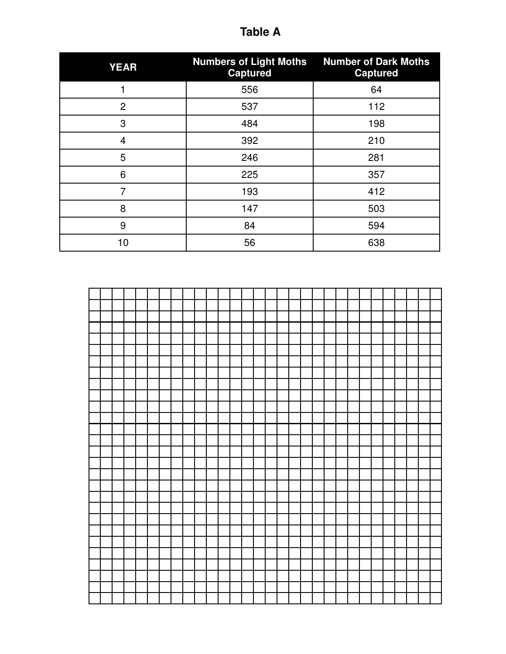| <b>YEAR</b>    | <b>Numbers of Light Moths</b><br><b>Captured</b> | <b>Number of Dark Moths</b><br><b>Captured</b> |
|----------------|--------------------------------------------------|------------------------------------------------|
|                | 556                                              | 64                                             |
| $\overline{2}$ | 537                                              | 112                                            |
| 3              | 484                                              | 198                                            |
| $\overline{4}$ | 392                                              | 210                                            |
| 5              | 246                                              | 281                                            |
| 6              | 225                                              | 357                                            |
| 7              | 193                                              | 412                                            |
| 8              | 147                                              | 503                                            |
| 9              | 84                                               | 594                                            |
| 10             | 56                                               | 638                                            |



# **Table A**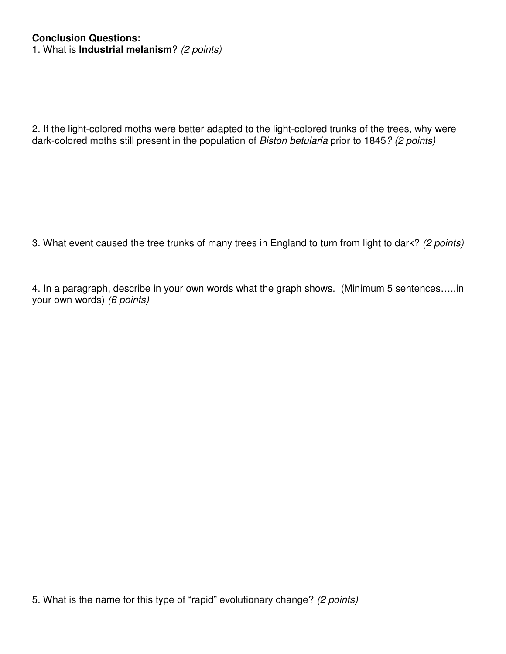### **Conclusion Questions:**

1. What is **Industrial melanism**? (2 points)

2. If the light-colored moths were better adapted to the light-colored trunks of the trees, why were dark-colored moths still present in the population of Biston betularia prior to 1845? (2 points)

3. What event caused the tree trunks of many trees in England to turn from light to dark? (2 points)

4. In a paragraph, describe in your own words what the graph shows. (Minimum 5 sentences…..in your own words) (6 points)